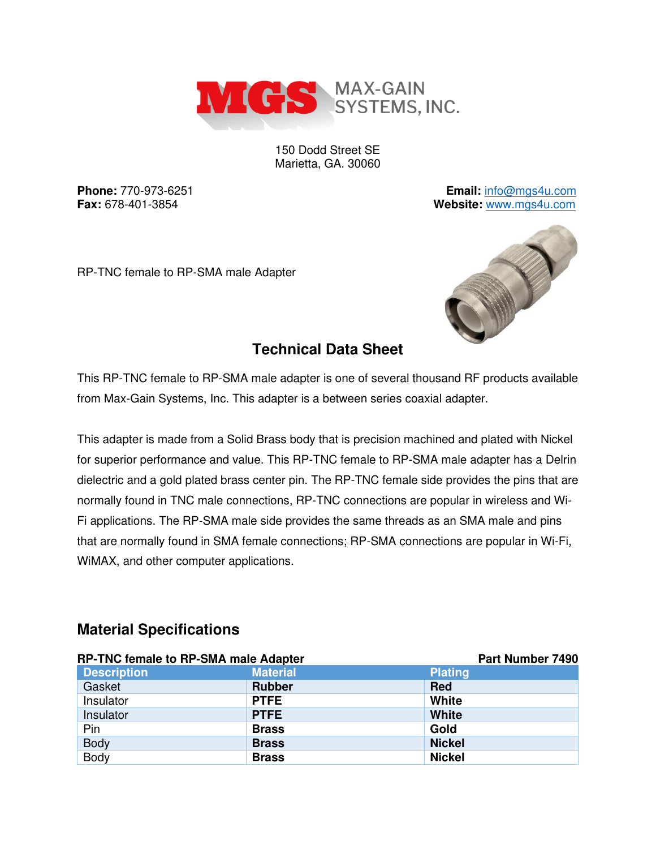

150 Dodd Street SE Marietta, GA. 30060

**Phone:** 770-973-6251 **Email:** [info@mgs4u.com](mailto:info@mgs4u.com) **Fax:** 678-401-3854 **Website:** [www.mgs4u.com](http://www.mgs4u.com/)

RP-TNC female to RP-SMA male Adapter



## **Technical Data Sheet**

This RP-TNC female to RP-SMA male adapter is one of several thousand RF products available from Max-Gain Systems, Inc. This adapter is a between series coaxial adapter.

This adapter is made from a Solid Brass body that is precision machined and plated with Nickel for superior performance and value. This RP-TNC female to RP-SMA male adapter has a Delrin dielectric and a gold plated brass center pin. The RP-TNC female side provides the pins that are normally found in TNC male connections, RP-TNC connections are popular in wireless and Wi-Fi applications. The RP-SMA male side provides the same threads as an SMA male and pins that are normally found in SMA female connections; RP-SMA connections are popular in Wi-Fi, WiMAX, and other computer applications.

#### **Material Specifications**

| <b>RP-TNC female to RP-SMA male Adapter</b> |                 | Part Number 7490 |
|---------------------------------------------|-----------------|------------------|
| <b>Description</b>                          | <b>Material</b> | <b>Plating</b>   |
| Gasket                                      | <b>Rubber</b>   | <b>Red</b>       |
| Insulator                                   | <b>PTFE</b>     | White            |
| Insulator                                   | <b>PTFE</b>     | <b>White</b>     |
| Pin                                         | <b>Brass</b>    | Gold             |
| <b>Body</b>                                 | <b>Brass</b>    | <b>Nickel</b>    |
| Body                                        | <b>Brass</b>    | <b>Nickel</b>    |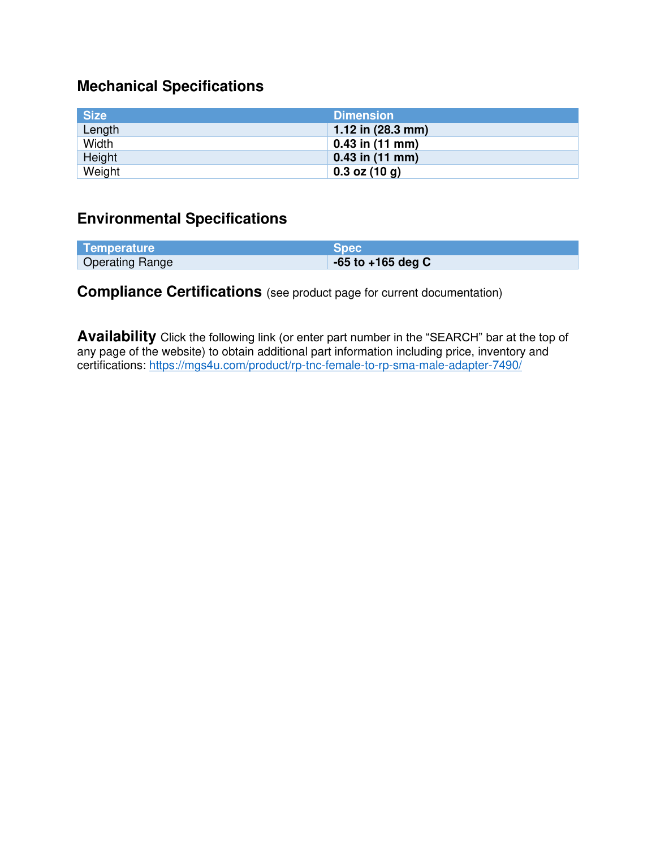# **Mechanical Specifications**

| <b>Size</b> | <b>Dimension</b>            |
|-------------|-----------------------------|
| Length      | 1.12 in $(28.3 \text{ mm})$ |
| Width       | $0.43$ in (11 mm)           |
| Height      | $0.43$ in (11 mm)           |
| Weight      | $0.3$ oz $(10 g)$           |

## **Environmental Specifications**

| Temperature            | <b>Spec</b>           |
|------------------------|-----------------------|
| <b>Operating Range</b> | $-65$ to $+165$ deg C |

## **Compliance Certifications** (see product page for current documentation)

**Availability** Click the following link (or enter part number in the "SEARCH" bar at the top of any page of the website) to obtain additional part information including price, inventory and certifications:<https://mgs4u.com/product/rp-tnc-female-to-rp-sma-male-adapter-7490/>